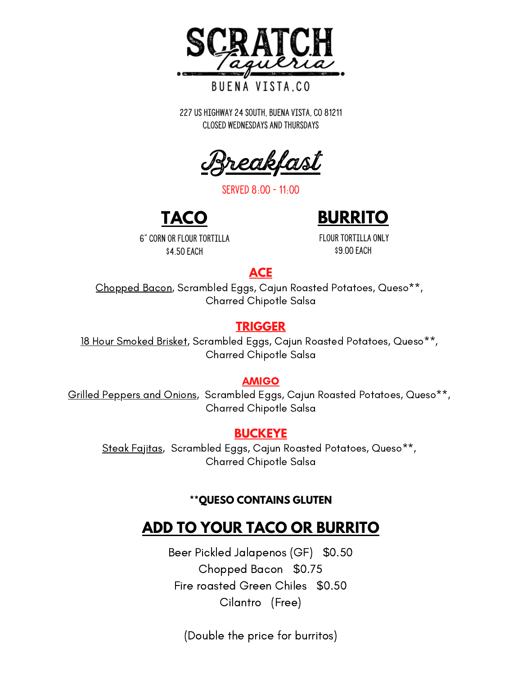

#### BUENA VISTA.CO

227 US Highway 24 South, Buena Vista, CO 81211 Closed WEdnesdays and Thursdays

<u>Breakfast</u>

served 8:00 - 11:00



6" corn or flour tortilla \$4.50 EACH

flour tortilla only \$9.00 EACH

#### **ACE**

Chopped Bacon, Scrambled Eggs, Cajun Roasted Potatoes, Queso\*\*, Charred Chipotle Salsa

#### **TRIGGER**

18 Hour Smoked Brisket, Scrambled Eggs, Cajun Roasted Potatoes, Queso\*\*, Charred Chipotle Salsa

#### AMIGO

Grilled Peppers and Onions, Scrambled Eggs, Cajun Roasted Potatoes, Queso\*\*, Charred Chipotle Salsa

#### **BUCKEYE**

Steak Fajitas, Scrambled Eggs, Cajun Roasted Potatoes, Queso\*\*, Charred Chipotle Salsa

#### **\*\*QUESO CONTAINS GLUTEN**

### **ADD TO YOUR TACO OR BURRITO**

Beer Pickled Jalapenos (GF) \$0.50 Chopped Bacon \$0.75 Fire roasted Green Chiles \$0.50 Cilantro (Free)

(Double the price for burritos)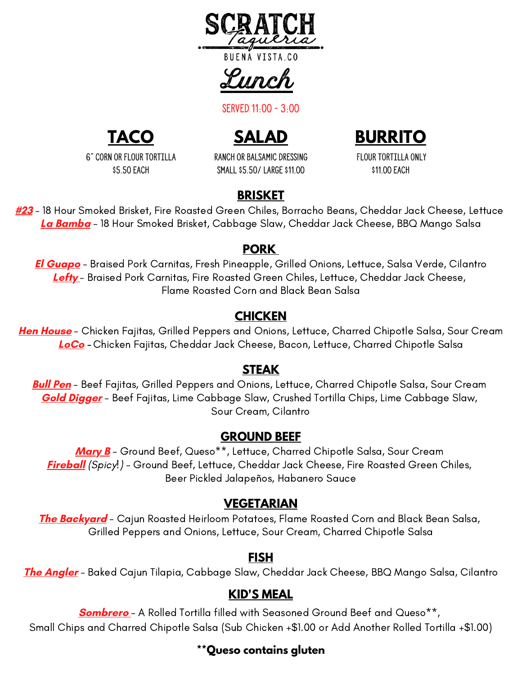

Lunch

served 11:00 - 3:00



**SALAD**



6" corn or flour tortilla \$5.50 EACH

RANCH OR bALSAMIC dRESSING SMALL \$5.50/ lARGE \$11.00

flour tortilla only \$11.00 EACH

### **BRISKET**

**#23** - 18 Hour Smoked Brisket, Fire Roasted Green Chiles, Borracho Beans, Cheddar Jack Cheese, Lettuce **La Bamba** - 18 Hour Smoked Brisket, Cabbage Slaw, Cheddar Jack Cheese, BBQ Mango Salsa

#### **PORK**

**El Guapo** - Braised Pork Carnitas, Fresh Pineapple, Grilled Onions, Lettuce, Salsa Verde, Cilantro **Lefty** - Braised Pork Carnitas, Fire Roasted Green Chiles, Lettuce, Cheddar Jack Cheese, Flame Roasted Corn and Black Bean Salsa

#### **CHICKEN**

**Hen House** - Chicken Fajitas, Grilled Peppers and Onions, Lettuce, Charred Chipotle Salsa, Sour Cream **LoCo -** Chicken Fajitas, Cheddar Jack Cheese, Bacon, Lettuce, Charred Chipotle Salsa

#### **STEAK**

**Bull Pen** - Beef Fajitas, Grilled Peppers and Onions, Lettuce, Charred Chipotle Salsa, Sour Cream **Gold Digger** - Beef Fajitas, Lime Cabbage Slaw, Crushed Tortilla Chips, Lime Cabbage Slaw, Sour Cream, Cilantro

#### **GROUND BEEF**

**Mary B** - Ground Beef, Queso\*\*, Lettuce, Charred Chipotle Salsa, Sour Cream **Fireball** (Spicy!) - Ground Beef, Lettuce, Cheddar Jack Cheese, Fire Roasted Green Chiles, Beer Pickled Jalapeños, Habanero Sauce

#### **VEGETARIAN**

**The Backyard** - Cajun Roasted Heirloom Potatoes, Flame Roasted Corn and Black Bean Salsa, Grilled Peppers and Onions, Lettuce, Sour Cream, Charred Chipotle Salsa

#### **FISH**

**The Angler** - Baked Cajun Tilapia, Cabbage Slaw, Cheddar Jack Cheese, BBQ Mango Salsa, Cilantro

#### **KID'S MEAL**

**Sombrero** - A Rolled Tortilla filled with Seasoned Ground Beef and Queso\*\*, Small Chips and Charred Chipotle Salsa (Sub Chicken +\$1.00 or Add Another Rolled Tortilla +\$1.00)

#### **\*\*Queso contains gluten**